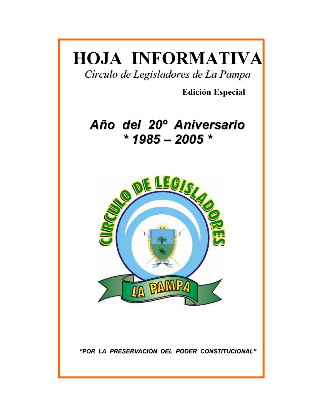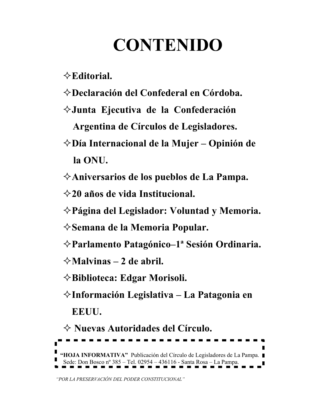# **CONTENIDO**

 $\Diamond$  Editorial.

- $\Diamond$ Declaración del Confederal en Córdoba.
- $\diamond$ Junta Ejecutiva de la Confederación

Argentina de Círculos de Legisladores.

- $\diamondsuit$ Día Internacional de la Mujer Opinión de la ONU.
- $\diamond$ Aniversarios de los pueblos de La Pampa.

 $\Diamond$ 20 años de vida Institucional.

- $\diamond$ Página del Legislador: Voluntad y Memoria.
- $\diamond$ Semana de la Memoria Popular.
- $\Diamond$ Parlamento Patagónico-1<sup>ª</sup> Sesión Ordinaria.

 $\Diamond$ Malvinas – 2 de abril.

 $\diamond$ Biblioteca: Edgar Morisoli.

 $\diamond$ Información Legislativa - La Patagonia en EEUU.

☆ Nuevas Autoridades del Círculo. "HOJA INFORMATIVA" Publicación del Círculo de Legisladores de La Pampa.  $\blacksquare$ <br>Sede: Don Bosco nº 385 - Tel. 02954 - 436116 - Santa Rosa - La Pampa.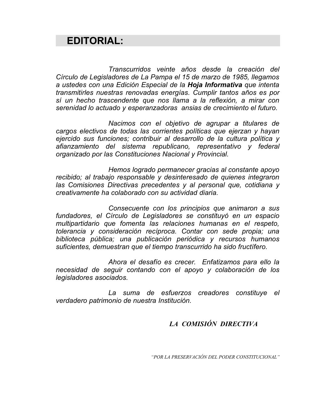# **EDITORIAL:**

Transcurridos veinte años desde la creación del Círculo de Legisladores de La Pampa el 15 de marzo de 1985, llegamos a ustedes con una Edición Especial de la Hoja Informativa que intenta transmitirles nuestras renovadas energías. Cumplir tantos años es por sí un hecho trascendente que nos llama a la reflexión, a mirar con serenidad lo actuado y esperanzadoras ansias de crecimiento el futuro.

Nacimos con el objetivo de agrupar a titulares de cargos electivos de todas las corrientes políticas que ejerzan y hayan ejercido sus funciones: contribuir al desarrollo de la cultura política v afianzamiento del sistema republicano, representativo y federal organizado por las Constituciones Nacional y Provincial.

Hemos logrado permanecer gracias al constante apoyo recibido; al trabajo responsable y desinteresado de quienes integraron las Comisiones Directivas precedentes y al personal que, cotidiana y creativamente ha colaborado con su actividad diaria.

Consecuente con los principios que animaron a sus fundadores, el Círculo de Legisladores se constituyó en un espacio multipartidario que fomenta las relaciones humanas en el respeto, tolerancia y consideración recíproca. Contar con sede propia; una biblioteca pública; una publicación periódica y recursos humanos suficientes, demuestran que el tiempo transcurrido ha sido fructífero.

Ahora el desafío es crecer. Enfatizamos para ello la necesidad de seguir contando con el apoyo y colaboración de los legisladores asociados.

La suma de esfuerzos creadores constituye el verdadero patrimonio de nuestra Institución.

# LA COMISIÓN DIRECTIVA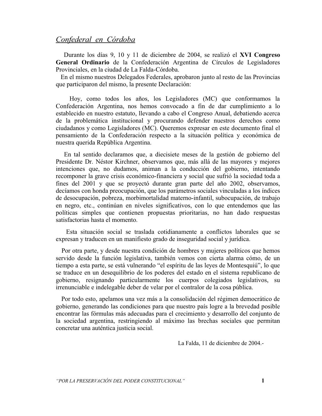### Confederal en Córdoba

Durante los días 9, 10 y 11 de diciembre de 2004, se realizó el XVI Congreso General Ordinario de la Confederación Argentina de Círculos de Legisladores Provinciales, en la ciudad de La Falda-Córdoba.

En el mismo nuestros Delegados Federales, aprobaron junto al resto de las Provincias que participaron del mismo, la presente Declaración:

Hoy, como todos los años, los Legisladores (MC) que conformamos la Confederación Argentina, nos hemos convocado a fin de dar cumplimiento a lo establecido en nuestro estatuto, llevando a cabo el Congreso Anual, debatiendo acerca de la problemática institucional y procurando defender nuestros derechos como ciudadanos y como Legisladores (MC). Queremos expresar en este documento final el pensamiento de la Confederación respecto a la situación política y económica de nuestra querida República Argentina.

En tal sentido declaramos que, a diecisiete meses de la gestión de gobierno del Presidente Dr. Néstor Kirchner, observamos que, más allá de las mayores y mejores intenciones que, no dudamos, animan a la conducción del gobierno, intentando recomponer la grave crisis económico-financiera y social que sufrió la sociedad toda a fines del 2001 y que se proyectó durante gran parte del año 2002, observamos, decíamos con honda preocupación, que los parámetros sociales vinculadas a los índices de desocupación, pobreza, morbimortalidad materno-infantil, subocupación, de trabajo en negro, etc., continúan en niveles significativos, con lo que entendemos que las políticas simples que contienen propuestas prioritarias, no han dado respuestas satisfactorias hasta el momento.

Esta situación social se traslada cotidianamente a conflictos laborales que se expresan y traducen en un manifiesto grado de inseguridad social y jurídica.

Por otra parte, y desde nuestra condición de hombres y mujeres políticos que hemos servido desde la función legislativa, también vemos con cierta alarma cómo, de un tiempo a esta parte, se está vulnerando "el espíritu de las leyes de Montesquiú", lo que se traduce en un deseguilibrio de los poderes del estado en el sistema republicano de gobierno, resignando particularmente los cuerpos colegiados legislativos, su irrenunciable e indelegable deber de velar por el contralor de la cosa pública.

Por todo esto, apelamos una vez más a la consolidación del régimen democrático de gobierno, generando las condiciones para que nuestro país logre a la brevedad posible encontrar las fórmulas más adecuadas para el crecimiento y desarrollo del conjunto de la sociedad argentina, restringiendo al máximo las brechas sociales que permitan concretar una auténtica justicia social.

La Falda, 11 de diciembre de 2004.-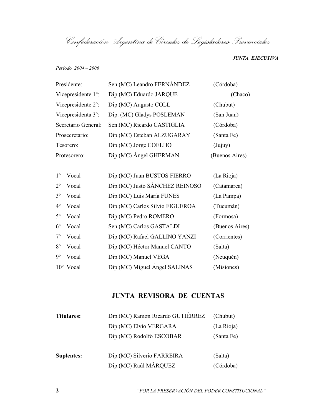Confederación Argentina de Círculos de Legisladores Provinciales

**JUNTA EJECUTIVA** 

Período 2004 - 2006

| Presidente:                     | Sen.(MC) Leandro FERNÁNDEZ          | (Córdoba)      |  |
|---------------------------------|-------------------------------------|----------------|--|
| Vicepresidente 1 <sup>o</sup> : | Dip. (MC) Eduardo JARQUE<br>(Chaco) |                |  |
| Vicepresidente 2 <sup>o</sup> : | Dip.(MC) Augusto COLL               | (Chubut)       |  |
| Vicepresidenta 3 <sup>o</sup> : | Dip. (MC) Gladys POSLEMAN           | (San Juan)     |  |
| Secretario General:             | Sen. (MC) Ricardo CASTIGLIA         | (Córdoba)      |  |
| Prosecretario:                  | Dip.(MC) Esteban ALZUGARAY          | (Santa Fe)     |  |
| Tesorero:                       | Dip. (MC) Jorge COELHO              | (Jujuy)        |  |
| Protesorero:                    | Dip.(MC) Angel GHERMAN              | (Buenos Aires) |  |
|                                 |                                     |                |  |
| $1^{\circ}$<br>Vocal            | Dip.(MC) Juan BUSTOS FIERRO         | (La Rioja)     |  |
| $2^{\circ}$<br>Vocal            | Dip.(MC) Justo SÁNCHEZ REINOSO      | (Catamarca)    |  |

| $2^{\circ}$    | Vocal              | Dip.(MC) Justo SÁNCHEZ REINOSO   | (Catamarca)    |
|----------------|--------------------|----------------------------------|----------------|
| $3^{\circ}$    | Vocal              | Dip.(MC) Luis María FUNES        | (La Pampa)     |
| $4^\circ$      | Vocal              | Dip. (MC) Carlos Silvio FIGUEROA | (Tucumán)      |
| $5^\mathrm{o}$ | Vocal              | Dip.(MC) Pedro ROMERO            | (Formosa)      |
| $6^{\circ}$    | Vocal              | Sen. (MC) Carlos GASTALDI        | (Buenos Aires) |
| $7^{\rm o}$    | Vocal              | Dip.(MC) Rafael GALLINO YANZI    | (Corrientes)   |
| $8^{\circ}$    | Vocal              | Dip.(MC) Héctor Manuel CANTO     | (Salta)        |
| $9^{\rm o}$    | Vocal              | Dip. (MC) Manuel VEGA            | (Neuquén)      |
|                | $10^{\circ}$ Vocal | Dip.(MC) Miguel Angel SALINAS    | (Misiones)     |

# JUNTA REVISORA DE CUENTAS

| <b>Titulares:</b> | Dip.(MC) Ramón Ricardo GUTIÉRREZ | (Chubut)   |
|-------------------|----------------------------------|------------|
|                   | Dip. (MC) Elvio VERGARA          | (La Rioja) |
|                   | Dip. (MC) Rodolfo ESCOBAR        | (Santa Fe) |
| <b>Suplentes:</b> | Dip.(MC) Silverio FARREIRA       | (Salta)    |
|                   | Dip.(MC) Raúl MÁRQUEZ            | (Córdoba)  |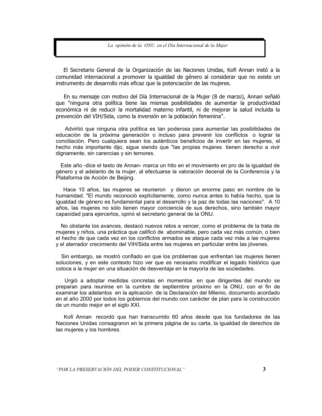La opinión de la ONU en el Día Internacional de la Mujer

El Secretario General de la Organización de las Naciones Unidas, Kofi Annan instó a la comunidad internacional a promover la igualdad de género al considerar que no existe un instrumento de desarrollo más eficaz que la potenciación de las mujeres.

En su mensaje con motivo del Día Internacional de la Mujer (8 de marzo), Annan señaló que "ninguna otra política tiene las mismas posibilidades de aumentar la productividad económica ni de reducir la mortalidad materno infantil, ni de mejorar la salud incluida la prevención del VIH/Sida, como la inversión en la población femenina".

Advirtió que ninguna otra política es tan poderosa para aumentar las posibilidades de educación de la próxima generación o incluso para prevenir los conflictos o lograr la conciliación. Pero cualquiera sean los auténticos beneficios de invertir en las mujeres, el hecho más importante dijo, sigue siendo que "las propias mujeres tienen derecho a vivir dignamente, sin carencias y sin temores.

Este año -dice el texto de Annan- marca un hito en el movimiento en pro de la igualdad de género y el adelanto de la mujer, al efectuarse la valoración decenal de la Conferencia y la Plataforma de Acción de Beijing.

Hace 10 años, las mujeres se reunieron y dieron un enorme paso en nombre de la humanidad. "El mundo reconoció explícitamente, como nunca antes lo había hecho, que la igualdad de género es fundamental para el desarrollo y la paz de todas las naciones". A 10 años, las mujeres no sólo tienen mayor conciencia de sus derechos, sino también mayor capacidad para ejercerlos, opinó el secretario general de la ONU.

No obstante los avances, destacó nuevos retos a vencer, como el problema de la trata de mujeres y niños, una práctica que calificó de abominable, pero cada vez más común, o bien el hecho de que cada vez en los conflictos armados se ataque cada vez más a las mujeres y el aterrador crecimiento del VIH/Sida entre las mujeres en particular entre las jóvenes.

Sin embargo, se mostró confiado en que los problemas que enfrentan las mujeres tienen soluciones, y en este contexto hizo ver que es necesario modificar el legado histórico que coloca a la mujer en una situación de desventaja en la mayoría de las sociedades.

Urgió a adoptar medidas concretas en momentos en que dirigentes del mundo se preparan para reunirse en la cumbre de septiembre próximo en la ONU, con el fin de examinar los adelantos en la aplicación de la Declaración del Milenio, documento acordado en el año 2000 por todos los gobiernos del mundo con carácter de plan para la construcción de un mundo mejor en el siglo XXI.

Kofi Annan recordó que han transcurrido 60 años desde que los fundadores de las Naciones Unidas consagraron en la primera página de su carta, la igualdad de derechos de las mujeres y los hombres.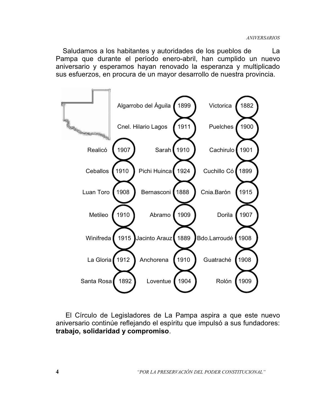Saludamos a los habitantes y autoridades de los pueblos de La Pampa que durante el período enero-abril, han cumplido un nuevo aniversario y esperamos hayan renovado la esperanza y multiplicado sus esfuerzos, en procura de un mayor desarrollo de nuestra provincia.



El Círculo de Legisladores de La Pampa aspira a que este nuevo aniversario continúe reflejando el espíritu que impulsó a sus fundadores: trabajo, solidaridad y compromiso.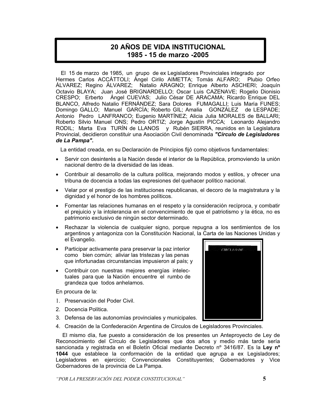# **20 AÑOS DE VIDA INSTITUCIONAL** 1985 - 15 de marzo -2005

El 15 de marzo de 1985, un grupo de ex Legisladores Provinciales integrado por Hermes Carlos ACCÁTTOLI; Ángel Cirilo AIMETTA; Tomás ALFARO; Plubio Orfeo ÁLVAREZ; Regino ÁLVAREZ; Natalio ARAGNO; Enrique Alberto ASCHERI; Joaquín Octavio BLAYA; Juan José BRIGNARDELLO; Oscar Luis CAZENAVE; Rogelio Dionisio CRESPO; Erberto Ángel CUEVAS; Julio César DE ARACAMA; Ricardo Enrique DEL BLANCO, Alfredo Natalio FERNÁNDEZ; Sara Dolores FUMAGALLI; Luis María FUNES; Domingo GALLO; Manuel GARCÍA; Roberto GIL; Amalia GONZÁLEZ de LESPADE; Antonio Pedro LANFRANCO; Eugenio MARTÍNEZ; Alicia Julia MORALES de BALLARI; Roberto Silvio Manuel ONS; Pedro ORTIZ; Jorge Agustín PICCA; Leonardo Alejandro RODIL; Marta Eva TURÍN de LLANOS y Rubén SIERRA, reunidos en la Legislatura Provincial, decidieron constituir una Asociación Civil denominada "Círculo de Legisladores" de La Pampa".

La entidad creada, en su Declaración de Principios fijó como objetivos fundamentales:

- · Servir con desinterés a la Nación desde el interior de la República, promoviendo la unión nacional dentro de la diversidad de las ideas.
- Contribuir al desarrollo de la cultura política, mejorando modos y estilos, y ofrecer una tribuna de docencia a todas las expresiones del quehacer político nacional.
- Velar por el prestigio de las instituciones republicanas, el decoro de la magistratura y la dignidad y el honor de los hombres políticos.
- Fomentar las relaciones humanas en el respeto y la consideración recíproca, y combatir el prejuicio y la intolerancia en el convencimiento de que el patriotismo y la ética, no es patrimonio exclusivo de ningún sector determinado.
- Rechazar la violencia de cualquier signo, porque repugna a los sentimientos de los argentinos y antagoniza con la Constitución Nacional, la Carta de las Naciones Unidas y el Evangelio.
- Participar activamente para preservar la paz interior como bien común: aliviar las tristezas y las penas que infortunadas circunstancias impusieron al país; y
- Contribuir con nuestras mejores energías intelectuales para que la Nación encuentre el rumbo de grandeza que todos anhelamos.

En procura de la:

- 1. Preservación del Poder Civil.
- 2. Docencia Política.
- 3. Defensa de las autonomías provinciales y municipales.
- 4. Creación de la Confederación Argentina de Círculos de Legisladores Provinciales.

El mismo día, fue puesto a consideración de los presentes un Anteproyecto de Ley de Reconocimiento del Círculo de Legisladores que dos años y medio más tarde sería sancionada y registrada en el Boletín Oficial mediante Decreto nº 3416/87. Es la Ley nº 1044 que establece la conformación de la entidad que agrupa a ex Legisladores; Legisladores en ejercicio; Convencionales Constituyentes; Gobernadores y Vice Gobernadores de la provincia de La Pampa.

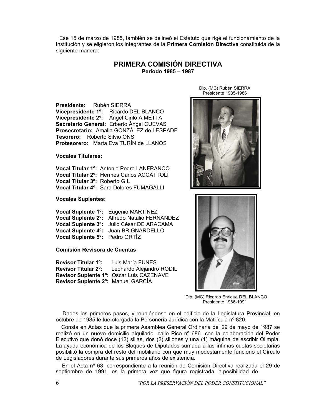Ese 15 de marzo de 1985, también se delineó el Estatuto que rige el funcionamiento de la Institución y se eligieron los integrantes de la Primera Comisión Directiva constituida de la siguiente manera:

#### PRIMERA COMISIÓN DIRECTIVA Período 1985 - 1987

Presidente: Rubén SIERRA Vicepresidente 1<sup>o</sup>: Ricardo DEL BLANCO Vicepresidente 2°: Ángel Cirilo AIMETTA Secretario General: Erberto Ángel CUEVAS Prosecretario: Amalia GONZÁLEZ de LESPADE Tesorero: Roberto Silvio ONS **Protesorero:** Marta Eva TURÍN de LLANOS

**Vocales Titulares:** 

Vocal Titular 1<sup>o</sup>: Antonio Pedro LANFRANCO Vocal Titular 2°: Hermes Carlos ACCÁTTOLI Vocal Titular 3°: Roberto GIL Vocal Titular 4<sup>o</sup>: Sara Dolores FUMAGALLI

**Vocales Suplentes:** 

|                                | Vocal Suplente 1 <sup>o</sup> : Eugenio MARTINEZ  |
|--------------------------------|---------------------------------------------------|
|                                | Vocal Suplente 2º: Alfredo Natalio FERNÁNDEZ      |
|                                | Vocal Suplente 3°: Julio César DE ARACAMA         |
|                                | Vocal Suplente 4 <sup>o</sup> : Juan BRIGNARDELLO |
| Vocal Suplente 5°: Pedro ORTÍZ |                                                   |

Comisión Revisora de Cuentas

**Revisor Titular 1<sup>o</sup>:** Luis María FUNES **Revisor Titular 2°:** Leonardo Alejandro RODIL Revisor Suplente 1º: Oscar Luis CAZENAVE Revisor Suplente 2°: Manuel GARCÍA

Dip. (MC) Rubén SIERRA Presidente 1985-1986





Dip. (MC) Ricardo Enrique DEL BLANCO Presidente 1986-1991

Dados los primeros pasos, y reuniéndose en el edificio de la Legislatura Provincial, en octubre de 1985 le fue otorgada la Personería Jurídica con la Matrícula nº 820.

Consta en Actas que la primera Asamblea General Ordinaria del 29 de mayo de 1987 se realizó en un nuevo domicilio alquilado -calle Pico nº 686- con la colaboración del Poder Ejecutivo que donó doce (12) sillas, dos (2) sillones y una (1) máquina de escribir Olimpia. La ayuda económica de los Bloques de Diputados sumada a las ínfimas cuotas societarias posibilitó la compra del resto del mobiliario con que muy modestamente funcionó el Círculo de Legisladores durante sus primeros años de existencia.

En el Acta nº 63, correspondiente a la reunión de Comisión Directiva realizada el 29 de septiembre de 1991, es la primera vez que figura registrada la posibilidad de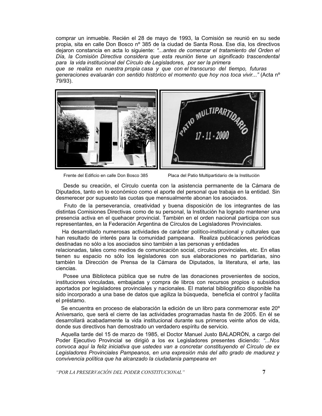comprar un inmueble. Recién el 28 de mayo de 1993, la Comisión se reunió en su sede propia, sita en calle Don Bosco nº 385 de la ciudad de Santa Rosa. Ese día, los directivos dejaron constancia en acta lo siguiente: "...antes de comenzar el tratamiento del Orden el Día, la Comisión Directiva considera que esta reunión tiene un significado trascendental para la vida institucional del Círculo de Legisladores, por ser la primera

que se realiza en nuestra propia casa y que con el transcurso del tiempo, futuras generaciones evaluarán con sentido histórico el momento que hoy nos toca vivir..." (Acta nº 79/93).



Frente del Edificio en calle Don Bosco 385

Placa del Patio Multipartidario de la Institución

Desde su creación, el Círculo cuenta con la asistencia permanente de la Cámara de Diputados, tanto en lo económico como el aporte del personal que trabaja en la entidad. Sin desmerecer por supuesto las cuotas que mensualmente abonan los asociados.

Fruto de la perseverancia, creatividad y buena disposición de los integrantes de las distintas Comisiones Directivas como de su personal, la Institución ha logrado mantener una presencia activa en el quehacer provincial. También en el orden nacional participa con sus representantes, en la Federación Argentina de Círculos de Legisladores Provinciales.

Ha desarrollado numerosas actividades de carácter político-institucional y culturales que han resultado de interés para la comunidad pampeana. Realiza publicaciones periódicas destinadas no sólo a los asociados sino también a las personas y entidades

relacionadas, tales como medios de comunicación social, círculos provinciales, etc. En ellas tienen su espacio no sólo los legisladores con sus elaboraciones no partidarias, sino también la Dirección de Prensa de la Cámara de Diputados, la literatura, el arte, las ciencias.

Posee una Biblioteca pública que se nutre de las donaciones provenientes de socios, instituciones vinculadas, embajadas y compra de libros con recursos propios o subsidios aportados por legisladores provinciales y nacionales. El material bibliográfico disponible ha sido incorporado a una base de datos que agiliza la búsqueda, beneficia el control y facilita el préstamo.

Se encuentra en proceso de elaboración la edición de un libro para conmemorar este 20° Aniversario, que será el cierre de las actividades programadas hasta fin de 2005. En él se desarrollará acabadamente la vida institucional durante sus primeros veinte años de vida, donde sus directivos han demostrado un verdadero espíritu de servicio.

Aquella tarde del 15 de marzo de 1985, el Doctor Manuel Justo BALADRÓN, a cargo del Poder Ejecutivo Provincial se dirigió a los ex Legisladores presentes diciendo: "...Nos convoca aquí la feliz iniciativa que ustedes van a concretar constituyendo el Círculo de ex Legisladores Provinciales Pampeanos, en una expresión más del alto grado de madurez y convivencia política que ha alcanzado la ciudadanía pampeana en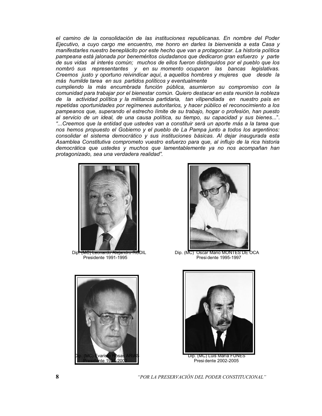el camino de la consolidación de las instituciones republicanas. En nombre del Poder Ejecutivo, a cuvo cargo me encuentro, me honro en darles la bienvenida a esta Casa v manifestarles nuestro beneplácito por este hecho que van a protagonizar. La historia política pampeana está jalonada por beneméritos ciudadanos que dedicaron gran esfuerzo y parte de sus vidas al interés común; muchos de ellos fueron distinguidos por el pueblo que los nombró sus representantes y en su momento ocuparon las bancas legislativas. Creemos justo y oportuno reivindicar aguí, a aguellos hombres y mujeres que desde la más humilde tarea en sus partidos políticos y eventualmente

cumpliendo la más encumbrada función pública, asumieron su compromiso con la comunidad para trabaiar por el bienestar común. Quiero destacar en esta reunión la nobleza de la actividad política y la militancia partidaria, tan vilipendiada en nuestro país en repetidas oportunidades por regímenes autoritarios, y hacer público el reconocimiento a los pampeanos que, superando el estrecho límite de su trabajo, hogar o profesión, han puesto al servicio de un ideal, de una causa política, su tiempo, su capacidad y sus bienes...". "...Creemos que la entidad que ustedes van a constituir será un aporte más a la tarea que nos hemos propuesto el Gobierno y el pueblo de La Pampa junto a todos los argentinos: consolidar el sistema democrático y sus instituciones básicas. Al dejar inaugurada esta Asamblea Constitutiva comprometo vuestro esfuerzo para que, al influjo de la rica historia democrática que ustedes y muchos que lamentablemente ya no nos acompañan han protagonizado, sea una verdadera realidad".



Din <del>mina RO</del>DII Presidente 1991-1995





Dip. (MC) Oscar Mario MONTES DE OCA Presi dente 1995-1997



Presi dente 2002-2005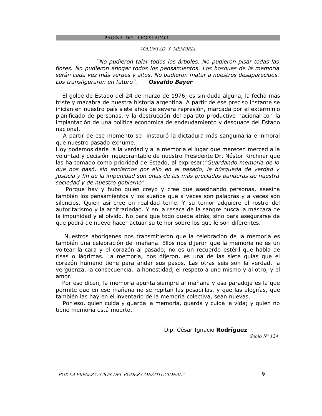PÁGINA DEL LEGISLADOR

#### VOLUNTAD Y MEMORIA

"No pudieron talar todos los árboles. No pudieron pisar todas las flores. No pudieron ahogar todos los pensamientos. Los bosques de la memoria serán cada vez más verdes y altos. No pudieron matar a nuestros desaparecidos. Los transfiguraron en futuro". **Osvaldo Bayer** 

El golpe de Estado del 24 de marzo de 1976, es sin duda alguna, la fecha más triste y macabra de nuestra historia argentina. A partir de ese preciso instante se inician en nuestro país siete años de severa represión, marcada por el exterminio planificado de personas, y la destrucción del aparato productivo nacional con la implantación de una política económica de endeudamiento y desquace del Estado nacional.

A partir de ese momento se instauró la dictadura más sanguinaria e inmoral que nuestro pasado exhume.

Hoy podemos darle a la verdad y a la memoria el lugar que merecen merced a la voluntad y decisión inquebrantable de nuestro Presidente Dr. Néstor Kirchner que las ha tomado como prioridad de Estado, al expresar: "Guardando memoria de lo que nos pasó, sin anclarnos por ello en el pasado, la búsqueda de verdad y justicia y fin de la impunidad son unas de las más preciadas banderas de nuestra sociedad y de nuestro gobierno".

Porque hay y hubo quien creyó y cree que asesinando personas, asesina también los pensamientos y los sueños que a veces son palabras y a veces son silencios. Quien así cree en realidad teme. Y su temor adquiere el rostro del autoritarismo y la arbitrariedad. Y en la resaca de la sangre busca la máscara de la impunidad y el olvido. No para que todo quede atrás, sino para asegurarse de que podrá de nuevo hacer actuar su temor sobre los que le son diferentes.

Nuestros aborígenes nos transmitieron que la celebración de la memoria es también una celebración del mañana. Ellos nos dijeron que la memoria no es un voltear la cara y el corazón al pasado, no es un recuerdo estéril que habla de risas o lágrimas. La memoria, nos dijeron, es una de las siete guías que el corazón humano tiene para andar sus pasos. Las otras seis son la verdad, la vergüenza, la consecuencia, la honestidad, el respeto a uno mismo y al otro, y el amor.

Por eso dicen, la memoria apunta siempre al mañana y esa paradoja es la que permite que en ese mañana no se repitan las pesadillas, y que las alegrías, que también las hay en el inventario de la memoria colectiva, sean nuevas.

Por eso, quien cuida y guarda la memoria, guarda y cuida la vida; y quien no tiene memoria está muerto.

Dip. César Ignacio Rodríguez

Socio  $N^{\circ}$ 124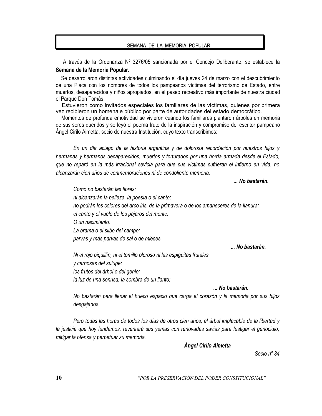#### SEMANA DE LA MEMORIA POPULAR

A través de la Ordenanza Nº 3276/05 sancionada por el Concejo Deliberante, se establece la Semana de la Memoria Popular.

Se desarrollaron distintas actividades culminando el día jueves 24 de marzo con el descubrimiento de una Placa con los nombres de todos los pampeanos víctimas del terrorismo de Estado, entre muertos, desaparecidos y niños apropiados, en el paseo recreativo más importante de nuestra ciudad el Parque Don Tomás.

Estuvieron como invitados especiales los familiares de las víctimas, quienes por primera vez recibieron un homenaje público por parte de autoridades del estado democrático.

Momentos de profunda emotividad se vivieron cuando los familiares plantaron árboles en memoria de sus seres queridos y se leyó el poema fruto de la inspiración y compromiso del escritor pampeano Ángel Cirilo Aimetta, socio de nuestra Institución, cuyo texto transcribimos:

En un día aciago de la historia argentina y de dolorosa recordación por nuestros hijos y hermanas y hermanos desaparecidos, muertos y torturados por una horda armada desde el Estado, que no reparó en la más irracional sevicia para que sus víctimas sufrieran el infierno en vida, no alcanzarán cien años de conmemoraciones ni de condoliente memoria,

... No bastarán.

Como no bastarán las flores: ni alcanzarán la belleza, la poesía o el canto: no podrán los colores del arco iris, de la primavera o de los amaneceres de la llanura; el canto y el vuelo de los pájaros del monte. O un nacimiento. La brama o el silbo del campo; parvas y más parvas de sal o de mieses, ... No bastarán.

Ni el rojo piquillín, ni el tomillo oloroso ni las espiguitas frutales y carnosas del sulupe: los frutos del árbol o del genio: la luz de una sonrisa, la sombra de un llanto;

... No bastarán.

No bastarán para llenar el hueco espacio que carga el corazón y la memoria por sus hijos desgajados.

Pero todas las horas de todos los días de otros cien años, el árbol implacable de la libertad y la justicia que hoy fundamos, reventará sus yemas con renovadas savias para fustigar el genocidio, mitigar la ofensa y perpetuar su memoria.

**Ángel Cirilo Aimetta** 

Socio  $n^{\circ}$  34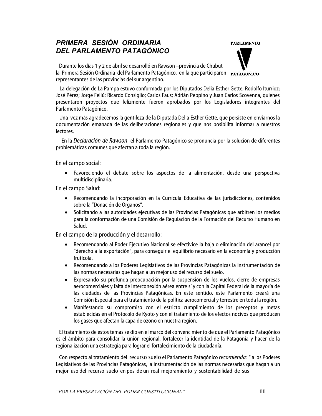# PRIMERA SESIÓN ORDINARIA DEL PARLAMENTO PATAGÓNICO

**PARLAMENTO** 



Durante los días 1 y 2 de abril se desarrolló en Rawson -provincia de Chubutla Primera Sesión Ordinaria del Parlamento Patagónico, en la que participaron **PATAGONICO** representantes de las provincias del sur argentino.

La delegación de La Pampa estuvo conformada por los Diputados Delia Esther Gette; Rodolfo Iturrioz; José Pérez; Jorge Feliú; Ricardo Consiglio; Carlos Faus; Adrián Peppino y Juan Carlos Scovenna, quienes presentaron proyectos que felizmente fueron aprobados por los Legisladores integrantes del Parlamento Patagónico.

Una vez más agradecemos la gentileza de la Diputada Delia Esther Gette, que persiste en enviarnos la documentación emanada de las deliberaciones regionales y que nos posibilita informar a nuestros lectores.

En la *Declaración de Rawson* el Parlamento Patagónico se pronuncia por la solución de diferentes problemáticas comunes que afectan a toda la región.

En el campo social:

· Favoreciendo el debate sobre los aspectos de la alimentación, desde una perspectiva multidisciplinaria.

En el campo Salud:

- Recomendando la incorporación en la Currícula Educativa de las jurisdicciones, contenidos sobre la "Donación de Órganos".
- Solicitando a las autoridades ejecutivas de las Provincias Patagónicas que arbitren los medios para la conformación de una Comisión de Regulación de la Formación del Recurso Humano en Salud.

En el campo de la producción y el desarrollo:

- Recomendando al Poder Ejecutivo Nacional se efectivice la baja o eliminación del arancel por "derecho a la exportación", para conseguir el equilibrio necesario en la economía y producción frutícola.
- · Recomendando a los Poderes Legislativos de las Provincias Patagónicas la instrumentación de las normas necesarias que hagan a un mejor uso del recurso del suelo.
- Expresando su profunda preocupación por la suspensión de los vuelos, cierre de empresas aerocomerciales y falta de interconexión aérea entre sí y con la Capital Federal de la mayoría de las ciudades de las Provincias Patagónicas. En este sentido, este Parlamento creará una Comisión Especial para el tratamiento de la política aerocomercial y terrestre en toda la región.
- · Manifestando su compromiso con el estricto cumplimiento de los preceptos y metas establecidas en el Protocolo de Kyoto y con el tratamiento de los efectos nocivos que producen los gases que afectan la capa de ozono en nuestra región.

El tratamiento de estos temas se dio en el marco del convencimiento de que el Parlamento Patagónico es el ámbito para consolidar la unión regional, fortalecer la identidad de la Patagonia y hacer de la regionalización una estrategia para lograr el fortalecimiento de la ciudadanía.

Con respecto al tratamiento del recurso suelo el Parlamento Patagónico recomienda: " a los Poderes Legislativos de las Provincias Patagónicas, la instrumentación de las normas necesarias que hagan a un mejor uso del recurso suelo en pos de un real mejoramiento y sustentabilidad de sus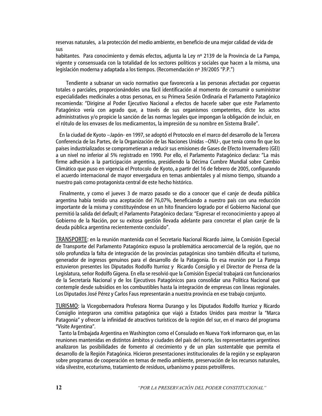reservas naturales, a la protección del medio ambiente, en beneficio de una mejor calidad de vida de sus

habitantes. Para conocimiento y demás efectos, adjunta la Ley nº 2139 de la Provincia de La Pampa, vigente y consensuada con la totalidad de los sectores políticos y sociales que hacen a la misma, una legislación moderna y adaptada a los tiempos. (Recomendación nº 39/2005 "P.P.")

Tendiente a subsanar un vacío normativo que favorecería a las personas afectadas por cequeras totales o parciales, proporcionándoles una fácil identificación al momento de consumir o suministrar especialidades medicinales a otras personas, en su Primera Sesión Ordinaria el Parlamento Patagónico recomienda: "Dirigirse al Poder Ejecutivo Nacional a efectos de hacerle saber que este Parlamento Patagónico vería con agrado que, a través de sus organismos competentes, dicte los actos administrativos y/o propicie la sanción de las normas legales que impongan la obligación de incluir, en el rótulo de los envases de los medicamentos, la impresión de su nombre en Sistema Braile".

En la ciudad de Kyoto - Japón- en 1997, se adoptó el Protocolo en el marco del desarrollo de la Tercera Conferencia de las Partes, de la Organización de las Naciones Unidas -ONU-, que tenía como fin que los países industrializados se comprometieran a reducir sus emisiones de Gases de Efecto Invernadero (GEI) a un nivel no inferior al 5% registrado en 1990. Por ello, el Parlamento Patagónico declara: "La más firme adhesión a la participación argentina, presidiendo la Décima Cumbre Mundial sobre Cambio Climático que puso en vigencia el Protocolo de Kyoto, a partir del 16 de febrero de 2005, configurando el acuerdo internacional de mayor envergadura en temas ambientales y al mismo tiempo, situando a nuestro país como protagonista central de este hecho histórico.

Finalmente, y como el jueves 3 de marzo pasado se dio a conocer que el canje de deuda pública argentina había tenido una aceptación del 76,07%, beneficiando a nuestro país con una reducción importante de la misma y constituyéndose en un hito financiero logrado por el Gobierno Nacional que permitió la salida del default; el Parlamento Patagónico declara: "Expresar el reconocimiento y apoyo al Gobierno de la Nación, por su exitosa gestión llevada adelante para concretar el plan canje de la deuda pública argentina recientemente concluido".

TRANSPORTE: en la reunión mantenida con el Secretario Nacional Ricardo Jaime, la Comisión Especial de Transporte del Parlamento Patagónico expuso la problemática aerocomercial de la región, que no sólo profundiza la falta de integración de las provincias patagónicas sino también dificulta el turismo, generador de ingresos genuinos para el desarrollo de la Patagonia. En esa reunión por La Pampa estuvieron presentes los Diputados Rodolfo Iturrioz y Ricardo Consiglio y el Director de Prensa de la Legislatura, señor Rodolfo Gigena. En ella se resolvió que la Comisión Especial trabajará con funcionarios de la Secretaría Nacional y de los Ejecutivos Patagónicos para consolidar una Política Nacional que contemple desde subsidios en los combustibles hasta la integración de empresas con líneas regionales. Los Diputados José Pérez y Carlos Faus representarán a nuestra provincia en ese trabajo conjunto.

TURISMO: la Vicegobernadora Profesora Norma Durango y los Diputados Rodolfo Iturrioz y Ricardo Consiglio integraron una comitiva patagónica que viajó a Estados Unidos para mostrar la "Marca Patagonia" y ofrecer la infinidad de atractivos turísticos de la región del sur, en el marco del programa "Visite Argentina".

Tanto la Embajada Argentina en Washington como el Consulado en Nueva York informaron que, en las reuniones mantenidas en distintos ámbitos y ciudades del país del norte, los representantes argentinos analizaron las posibilidades de fomento al crecimiento y de un plan sustentable que permita el desarrollo de la Región Patagónica. Hicieron presentaciones institucionales de la región y se explayaron sobre programas de cooperación en temas de medio ambiente, preservación de los recursos naturales, vida silvestre, ecoturismo, tratamiento de residuos, urbanismo y pozos petrolíferos.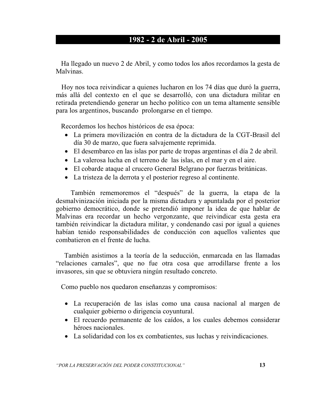# 1982 - 2 de Abril - 2005

Ha llegado un nuevo 2 de Abril, y como todos los años recordamos la gesta de Malvinas.

Hoy nos toca reivindicar a quienes lucharon en los 74 días que duró la guerra, más allá del contexto en el que se desarrolló, con una dictadura militar en retirada pretendiendo generar un hecho político con un tema altamente sensible para los argentinos, buscando prolongarse en el tiempo.

Recordemos los hechos históricos de esa época:

- La primera movilización en contra de la dictadura de la CGT-Brasil del día 30 de marzo, que fuera salvajemente reprimida.
- El desembarco en las islas por parte de tropas argentinas el día 2 de abril.
- La valerosa lucha en el terreno de las islas, en el mar y en el aire.
- El cobarde ataque al crucero General Belgrano por fuerzas británicas.
- La tristeza de la derrota y el posterior regreso al continente.

También rememoremos el "después" de la guerra, la etapa de la desmalvinización iniciada por la misma dictadura y apuntalada por el posterior gobierno democrático, donde se pretendió imponer la idea de que hablar de Malvinas era recordar un hecho vergonzante, que reivindicar esta gesta era también reivindicar la dictadura militar, y condenando casi por igual a quienes habían tenido responsabilidades de conducción con aquellos valientes que combatieron en el frente de lucha.

También asistimos a la teoría de la seducción, enmarcada en las llamadas "relaciones carnales", que no fue otra cosa que arrodillarse frente a los invasores, sin que se obtuviera ningún resultado concreto.

Como pueblo nos quedaron enseñanzas y compromisos:

- La recuperación de las islas como una causa nacional al margen de cualquier gobierno o dirigencia coyuntural.
- El recuerdo permanente de los caídos, a los cuales debemos considerar héroes nacionales.
- La solidaridad con los ex combatientes, sus luchas y reivindicaciones.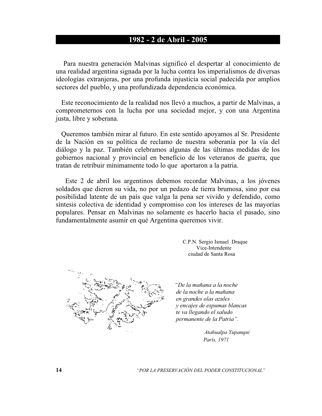## 1982 - 2 de Abril - 2005

Para nuestra generación Malvinas significó el despertar al conocimiento de una realidad argentina signada por la lucha contra los imperialismos de diversas ideologías extranjeras, por una profunda injusticia social padecida por amplios sectores del pueblo, y una profundizada dependencia económica.

Este reconocimiento de la realidad nos llevó a muchos, a partir de Malvinas, a comprometernos con la lucha por una sociedad mejor, y con una Argentina justa, libre y soberana.

Queremos también mirar al futuro. En este sentido apoyamos al Sr. Presidente de la Nación en su política de reclamo de nuestra soberanía por la vía del diálogo y la paz. También celebramos algunas de las últimas medidas de los gobiernos nacional y provincial en beneficio de los veteranos de guerra, que tratan de retribuir mínimamente todo lo que aportaron a la patria.

Este 2 de abril los argentinos debemos recordar Malvinas, a los jóvenes soldados que dieron su vida, no por un pedazo de tierra brumosa, sino por esa posibilidad latente de un país que valga la pena ser vivido y defendido, como síntesis colectiva de identidad y compromiso con los intereses de las mayorías populares. Pensar en Malvinas no solamente es hacerlo hacia el pasado, sino fundamentalmente asumir en qué Argentina queremos vivir.

> C.P.N. Sergio Ismael Draque Vice-Intendente ciudad de Santa Rosa



"De la mañana a la noche de la noche a la mañana en grandes olas azules y encajes de espumas blancas te va llegando el saludo permanente de la Patria".

> Atahualpa Yupanqui París, 1971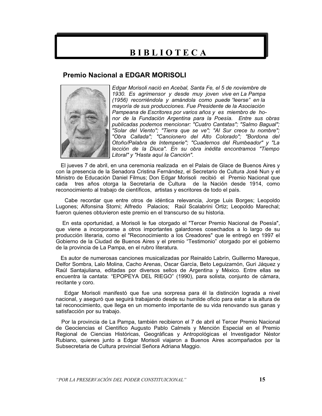# **BIBLIOTECA**

#### **Premio Nacional a EDGAR MORISOLI**



Edgar Morisoli nació en Acebal, Santa Fe, el 5 de noviembre de 1930. Es agrimensor y desde muy joven vive en La Pampa (1956) recorriéndola y amándola como puede "leerse" en la mayoría de sus producciones. Fue Presidente de la Asociación Pampeana de Escritores por varios años y es miembro de honor de la Fundación Argentina para la Poesía. Entre sus obras publicadas podemos mencionar: "Cuatro Cantatas"; "Salmo Bagual"; "Solar del Viento"; "Tierra que se ve"; "Al Sur crece tu nombre"; "Obra Callada"; "Cancionero del Alto Colorado"; "Bordona del Otoño/Palabra de Intemperie"; "Cuadernos del Rumbeador" y "La lección de la Diuca". En su obra inédita encontramos "Tiempo Litoral" y "Hasta aquí la Canción".

El jueves 7 de abril, en una ceremonia realizada en el Palais de Glace de Buenos Aires y con la presencia de la Senadora Cristina Fernández, el Secretario de Cultura José Nun y el Ministro de Educación Daniel Filmus; Don Edgar Morisoli recibió el Premio Nacional que cada tres años otorga la Secretaría de Cultura de la Nación desde 1914, como reconocimiento al trabajo de científicos, artistas y escritores de todo el país.

Cabe recordar que entre otros de idéntica relevancia, Jorge Luis Borges; Leopoldo Lugones: Alfonsina Storni: Alfredo Palacios: Raúl Scalabrini Ortiz: Leopoldo Marechal: fueron quienes obtuvieron este premio en el transcurso de su historia.

En esta oportunidad, a Morisoli le fue otorgado el "Tercer Premio Nacional de Poesía", que viene a incorporarse a otros importantes galardones cosechados a lo largo de su producción literaria, como el "Reconocimiento a los Creadores" que le entregó en 1997 el Gobierno de la Ciudad de Buenos Aires y el premio "Testimonio" otorgado por el gobierno de la provincia de La Pampa, en el rubro literatura.

Es autor de numerosas canciones musicalizadas por Reinaldo Labrín, Guillermo Mareque, Delfor Sombra, Lalo Molina, Cacho Arenas, Oscar García, Beto Lequizamón, Guri Jáquez y Raúl Santaiuliana, editadas por diversos sellos de Argentina y México. Entre ellas se encuentra la cantata: "EPOPEYA DEL RIEGO" (1990), para solista, conjunto de cámara, recitante y coro.

Edgar Morisoli manifestó que fue una sorpresa para él la distinción lograda a nivel nacional, y aseguró que seguirá trabajando desde su humilde oficio para estar a la altura de tal reconocimiento, que llega en un momento importante de su vida renovando sus ganas y satisfacción por su trabajo.

Por la provincia de La Pampa, también recibieron el 7 de abril el Tercer Premio Nacional de Geociencias el Científico Augusto Pablo Calmels y Mención Especial en el Premio Regional de Ciencias Históricas, Geográficas y Antropológicas el Investigador Néstor Rubiano, quienes junto a Edgar Morisoli viajaron a Buenos Aires acompañados por la Subsecretaria de Cultura provincial Señora Adriana Maggio.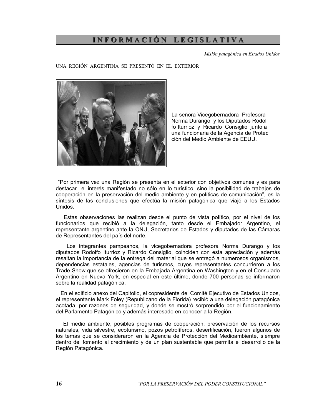# INFORMACIÓN LEGISLATIVA

Misión patagónica en Estados Unidos

UNA REGIÓN ARGENTINA SE PRESENTÓ EN EL EXTERIOR



La señora Vicegobernadora Profesora Norma Durango, y los Diputados Rodol fo Iturrioz y Ricardo Consiglio junto a una funcionaria de la Agencia de Protec ción del Medio Ambiente de EEUU.

"Por primera vez una Región se presenta en el exterior con objetivos comunes y es para destacar el interés manifestado no sólo en lo turístico, sino la posibilidad de trabaios de cooperación en la preservación del medio ambiente y en políticas de comunicación", es la síntesis de las conclusiones que efectúa la misión patagónica que viajó a los Estados Unidos.

Estas observaciones las realizan desde el punto de vista político, por el nivel de los funcionarios que recibió a la delegación, tanto desde el Embajador Argentino, el representante argentino ante la ONU, Secretarios de Estados y diputados de las Cámaras de Representantes del país del norte.

Los integrantes pampeanos, la vicegobernadora profesora Norma Durango y los diputados Rodolfo Iturrioz y Ricardo Consiglio, coinciden con esta apreciación y además resaltan la importancia de la entrega del material que se entregó a numerosos organismos. dependencias estatales, agencias de turismos, cuyos representantes concurrieron a los Trade Show que se ofrecieron en la Embajada Argentina en Washington y en el Consulado Argentino en Nueva York, en especial en este último, donde 700 personas se informaron sobre la realidad patagónica.

En el edificio anexo del Capitolio, el copresidente del Comité Ejecutivo de Estados Unidos, el representante Mark Foley (Republicano de la Florida) recibió a una delegación patagónica acotada, por razones de seguridad, y donde se mostró sorprendido por el funcionamiento del Parlamento Patagónico y además interesado en conocer a la Región.

El medio ambiente, posibles programas de cooperación, preservación de los recursos naturales, vida silvestre, ecoturismo, pozos petrolíferos, desertificación, fueron algunos de los temas que se consideraron en la Agencia de Protección del Medioambiente, siempre dentro del fomento al crecimiento y de un plan sustentable que permita el desarrollo de la Región Patagónica.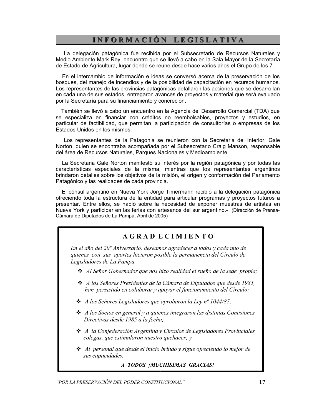# INFORMACIÓN LEGISLATIVA

La delegación patagónica fue recibida por el Subsecretario de Recursos Naturales y Medio Ambiente Mark Rey, encuentro que se llevó a cabo en la Sala Mayor de la Secretaría de Estado de Agricultura, lugar donde se reúne desde hace varios años el Grupo de los 7.

En el intercambio de información e ideas se conversó acerca de la preservación de los bosques, del manejo de incendios y de la posibilidad de capacitación en recursos humanos. Los representantes de las provincias patagónicas detallaron las acciones que se desarrollan en cada una de sus estados, entregaron avances de proyectos y material que será evaluado por la Secretaría para su financiamiento y concreción.

También se llevó a cabo un encuentro en la Agencia del Desarrollo Comercial (TDA) que se especializa en financiar con créditos no reembolsables, proyectos y estudios, en particular de factibilidad, que permitan la participación de consultorías o empresas de los Estados Unidos en los mismos.

Los representantes de la Patagonia se reunieron con la Secretaria del Interior, Gale Norton, quien se encontraba acompañada por el Subsecretario Craig Manson, responsable del área de Recursos Naturales, Parques Nacionales y Medioambiente.

La Secretaria Gale Norton manifestó su interés por la región patagónica y por todas las características especiales de la misma, mientras que los representantes argentinos brindaron detalles sobre los objetivos de la misión, el origen y conformación del Parlamento Patagónico y las realidades de cada provincia.

El cónsul argentino en Nueva York Jorge Timermann recibió a la delegación patagónica ofreciendo toda la estructura de la entidad para articular programas y proyectos futuros a presentar. Entre ellos, se habló sobre la necesidad de exponer muestras de artistas en Nueva York y participar en las ferias con artesanos del sur argentino.- (Dirección de Prensa-Cámara de Diputados de La Pampa, Abril de 2005)

#### **AGRAD ECIMIENTO**

En el año del 20<sup>°</sup> Aniversario, deseamos agradecer a todos y cada uno de quienes con sus aportes hicieron posible la permanencia del Círculo de Legisladores de La Pampa.

- Al Señor Gobernador que nos hizo realidad el sueño de la sede propia;
- A los Señores Presidentes de la Cámara de Diputados que desde 1985, han persistido en colaborar y apovar el funcionamiento del Círculo;
- $\triangleleft$  A los Señores Legisladores que aprobaron la Lev nº 1044/87;
- $\triangle$  A los Socios en general y a quienes integraron las distintas Comisiones Directivas desde 1985 a la fecha;
- $\triangleleft$  A la Confederación Argentina y Círculos de Legisladores Provinciales colegas, que estimularon nuestro quehacer; y
- $\clubsuit$  Al personal que desde el inicio brindó y sigue ofreciendo lo mejor de sus capacidades.

A TODOS ¡MUCHÍSIMAS GRACIAS!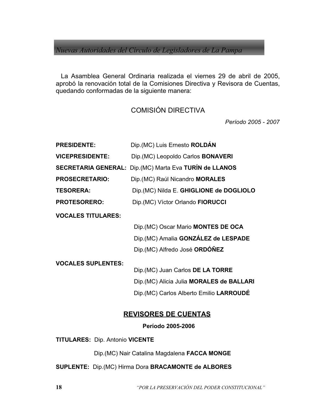Nuevas Autoridades del Circulo de Legisladores de La Pampa

La Asamblea General Ordinaria realizada el viernes 29 de abril de 2005, aprobó la renovación total de la Comisiones Directiva y Revisora de Cuentas, quedando conformadas de la siguiente manera:

## **COMISIÓN DIRECTIVA**

Período 2005 - 2007

| Dip. (MC) Luis Ernesto ROLDÁN                                                                                              |
|----------------------------------------------------------------------------------------------------------------------------|
| Dip. (MC) Leopoldo Carlos <b>BONAVERI</b>                                                                                  |
| Dip.(MC) Marta Eva TURÍN de LLANOS                                                                                         |
| Dip. (MC) Raúl Nicandro MORALES                                                                                            |
| Dip.(MC) Nilda E. GHIGLIONE de DOGLIOLO                                                                                    |
| Dip. (MC) Víctor Orlando FIORUCCI                                                                                          |
|                                                                                                                            |
| Dip. (MC) Oscar Mario MONTES DE OCA                                                                                        |
| Dip.(MC) Amalia GONZÁLEZ de LESPADE                                                                                        |
| Dip.(MC) Alfredo José ORDÓÑEZ                                                                                              |
| Dip. (MC) Juan Carlos DE LA TORRE<br>Dip. (MC) Alicia Julia MORALES de BALLARI<br>Dip. (MC) Carlos Alberto Emilio LARROUDE |
|                                                                                                                            |

# **REVISORES DE CUENTAS**

Período 2005-2006

**TITULARES: Dip. Antonio VICENTE** 

Dip.(MC) Nair Catalina Magdalena FACCA MONGE

SUPLENTE: Dip.(MC) Hirma Dora BRACAMONTE de ALBORES